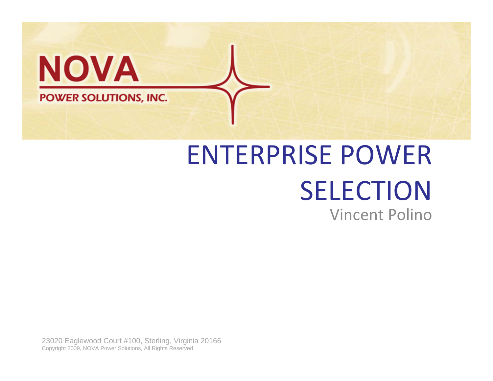

# ENTERPRISE POWERSELECTIONVincent Polino

23020 Eaglewood Court #100, Sterling, Virginia 20166 Copyright 2009, NOVA Power Solutions, All Rights Reserved.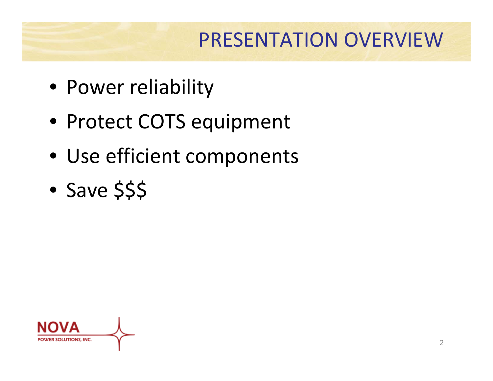#### PRESENTATION OVERVIEW

- Power reliability
- Protect COTS equipment
- Use efficient components
- Save \$\$\$

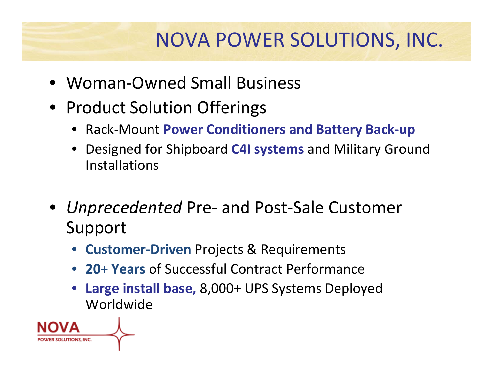### NOVA POWER SOLUTIONS, INC.

- Woman‐Owned Small Business
- Product Solution Offerings
	- Rack‐Mount **Power Conditioners and Battery Back‐up**
	- Designed for Shipboard **C4I systems** and Military Ground Installations
- *Unprecedented* Pre‐ and Post‐Sale Customer Support
	- **Customer‐Driven** Projects & Requirements
	- **20+ Years** of Successful Contract Performance
	- **Large install base,** 8,000+ UPS Systems Deployed Worldwide

SOLUTIONS, INC.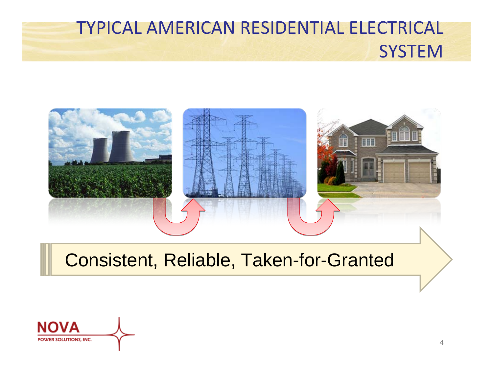#### TYPICAL AMERICAN RESIDENTIAL ELECTRICAL SYSTEM



#### Consistent, Reliable, Taken-for-Granted

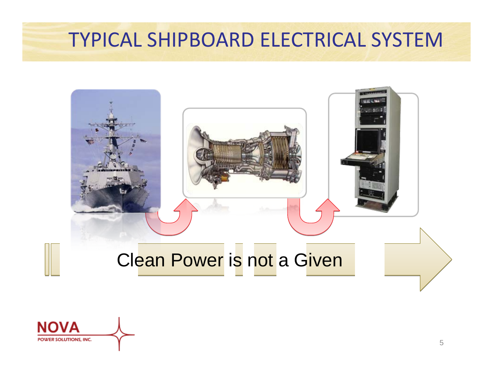#### TYPICAL SHIPBOARD ELECTRICAL SYSTEM



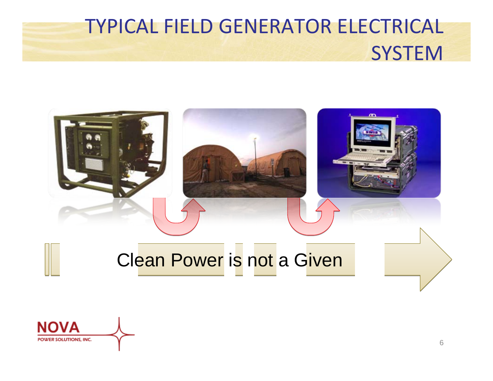# TYPICAL FIELD GENERATOR ELECTRICAL SYSTEM



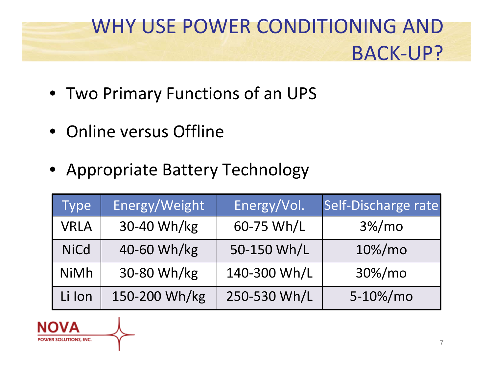### WHY USE POWER CONDITIONING AND BACK‐UP?

- Two Primary Functions of an UPS
- Online versus Offline
- Appropriate Battery Technology

| <b>Type</b> | Energy/Weight | Energy/Vol.  | Self-Discharge rate |
|-------------|---------------|--------------|---------------------|
| <b>VRLA</b> | 30-40 Wh/kg   | 60-75 Wh/L   | $3\%/mo$            |
| <b>NiCd</b> | 40-60 Wh/kg   | 50-150 Wh/L  | 10%/mo              |
| <b>NiMh</b> | 30-80 Wh/kg   | 140-300 Wh/L | 30%/mo              |
| Li Ion      | 150-200 Wh/kg | 250-530 Wh/L | 5-10%/mo            |

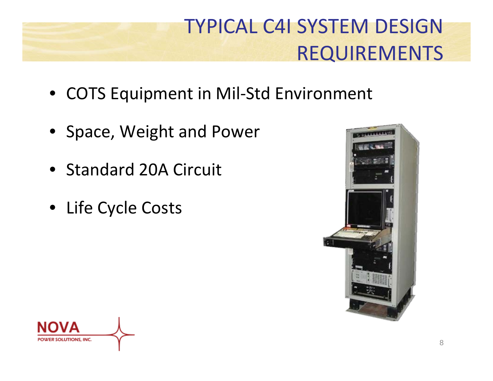## TYPICAL C4I SYSTEM DESIGN REQUIREMENTS

- COTS Equipment in Mil‐Std Environment
- Space, Weight and Power
- Standard 20A Circuit
- Life Cycle Costs



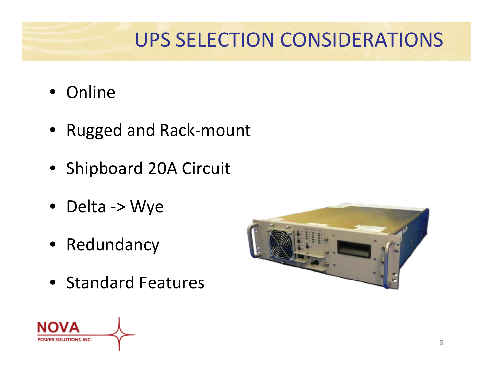## UPS SELECTION CONSIDERATIONS

- Online
- Rugged and Rack‐mount
- Shipboard 20A Circuit
- Delta ‐<sup>&</sup>gt; Wye
- Redundancy
- Standard Features



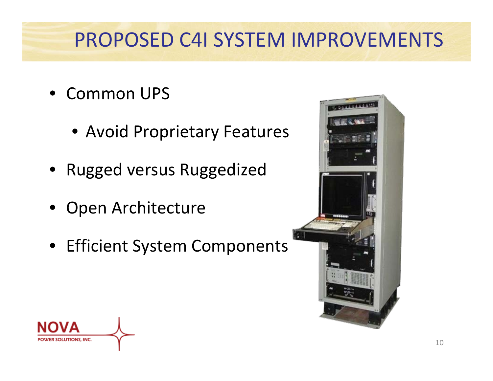### PROPOSED C4I SYSTEM IMPROVEMENTS

- Common UPS
	- Avoid Proprietary Features
- Rugged versus Ruggedized
- Open Architecture
- Efficient System Components



10

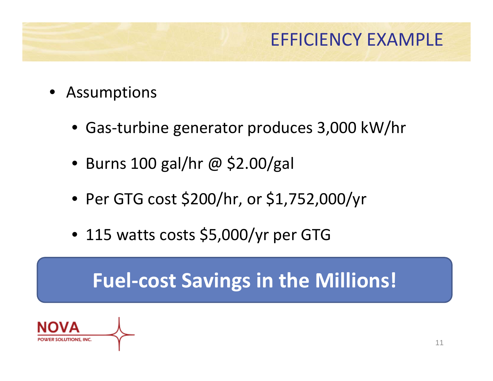#### EFFICIENCY EXAMPLE

- Assumptions
	- Gas‐turbine generator produces 3,000 kW/hr
	- Burns 100 gal/hr @ \$2.00/gal
	- Per GTG cost \$200/hr, or \$1,752,000/yr
	- 115 watts costs \$5,000/yr per GTG

### **Fuel‐cost Savings in the Millions!**

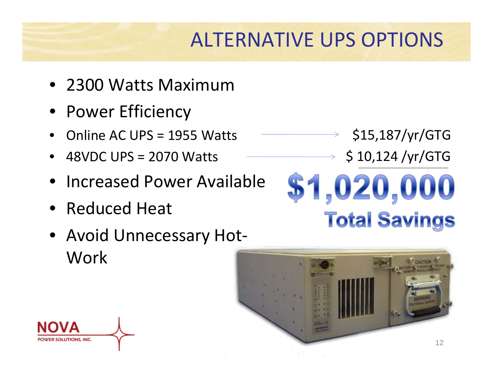## ALTERNATIVE UPS OPTIONS

- 2300 Watts Maximum
- Power Efficiency
- Online AC UPS <sup>=</sup> 1955 Watts
- 48VDC UPS <sup>=</sup> 2070 Watts
- Increased Power Available
- Reduced Heat
- Avoid Unnecessary Hot-Work



\$1,020,000

\$15,187/yr/GTG

\$ 10,124 /yr/GTG

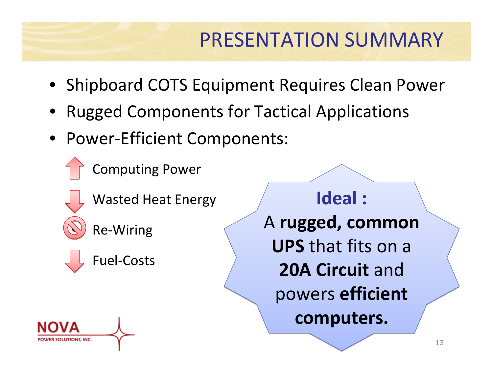### PRESENTATION SUMMARY

- Shipboard COTS Equipment Requires Clean Power
- Rugged Components for Tactical Applications
- Power‐Efficient Components:
	- Computing Power
	- Wasted Heat Energy

• Re‐Wiring



**Ideal : Ideal :** A **rugged, common** A **rugged, common UPS** that fits on a **UPS** that fits on a **20A Circuit** and **20A Circuit** and powers **efficient** powers **efficient computers. computers.**